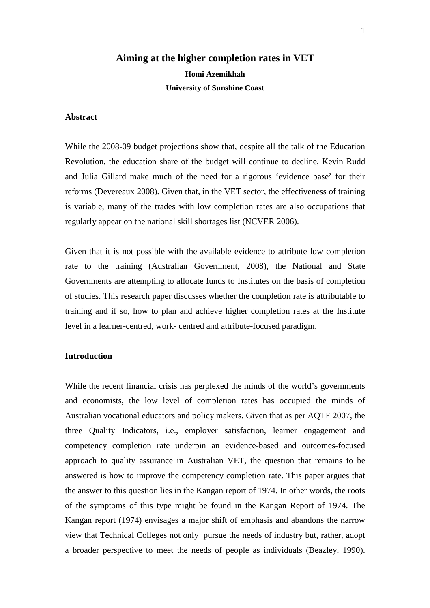### **Aiming at the higher completion rates in VET**

**Homi Azemikhah University of Sunshine Coast** 

# **Abstract**

While the 2008-09 budget projections show that, despite all the talk of the Education Revolution, the education share of the budget will continue to decline, Kevin Rudd and Julia Gillard make much of the need for a rigorous 'evidence base' for their reforms (Devereaux 2008). Given that, in the VET sector, the effectiveness of training is variable, many of the trades with low completion rates are also occupations that regularly appear on the national skill shortages list (NCVER 2006).

Given that it is not possible with the available evidence to attribute low completion rate to the training (Australian Government, 2008), the National and State Governments are attempting to allocate funds to Institutes on the basis of completion of studies. This research paper discusses whether the completion rate is attributable to training and if so, how to plan and achieve higher completion rates at the Institute level in a learner-centred, work- centred and attribute-focused paradigm.

## **Introduction**

While the recent financial crisis has perplexed the minds of the world's governments and economists, the low level of completion rates has occupied the minds of Australian vocational educators and policy makers. Given that as per AQTF 2007, the three Quality Indicators, i.e., employer satisfaction, learner engagement and competency completion rate underpin an evidence-based and outcomes-focused approach to quality assurance in Australian VET, the question that remains to be answered is how to improve the competency completion rate. This paper argues that the answer to this question lies in the Kangan report of 1974. In other words, the roots of the symptoms of this type might be found in the Kangan Report of 1974. The Kangan report (1974) envisages a major shift of emphasis and abandons the narrow view that Technical Colleges not only pursue the needs of industry but, rather, adopt a broader perspective to meet the needs of people as individuals (Beazley, 1990).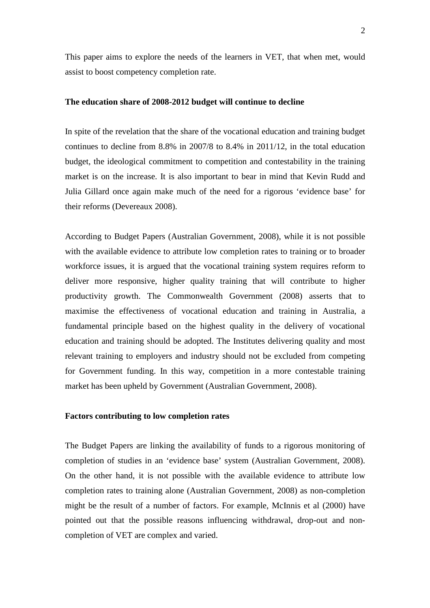This paper aims to explore the needs of the learners in VET, that when met, would assist to boost competency completion rate.

### **The education share of 2008-2012 budget will continue to decline**

In spite of the revelation that the share of the vocational education and training budget continues to decline from 8.8% in 2007/8 to 8.4% in 2011/12, in the total education budget, the ideological commitment to competition and contestability in the training market is on the increase. It is also important to bear in mind that Kevin Rudd and Julia Gillard once again make much of the need for a rigorous 'evidence base' for their reforms (Devereaux 2008).

According to Budget Papers (Australian Government, 2008), while it is not possible with the available evidence to attribute low completion rates to training or to broader workforce issues, it is argued that the vocational training system requires reform to deliver more responsive, higher quality training that will contribute to higher productivity growth. The Commonwealth Government (2008) asserts that to maximise the effectiveness of vocational education and training in Australia, a fundamental principle based on the highest quality in the delivery of vocational education and training should be adopted. The Institutes delivering quality and most relevant training to employers and industry should not be excluded from competing for Government funding. In this way, competition in a more contestable training market has been upheld by Government (Australian Government, 2008).

## **Factors contributing to low completion rates**

The Budget Papers are linking the availability of funds to a rigorous monitoring of completion of studies in an 'evidence base' system (Australian Government, 2008). On the other hand, it is not possible with the available evidence to attribute low completion rates to training alone (Australian Government, 2008) as non-completion might be the result of a number of factors. For example, McInnis et al (2000) have pointed out that the possible reasons influencing withdrawal, drop-out and noncompletion of VET are complex and varied.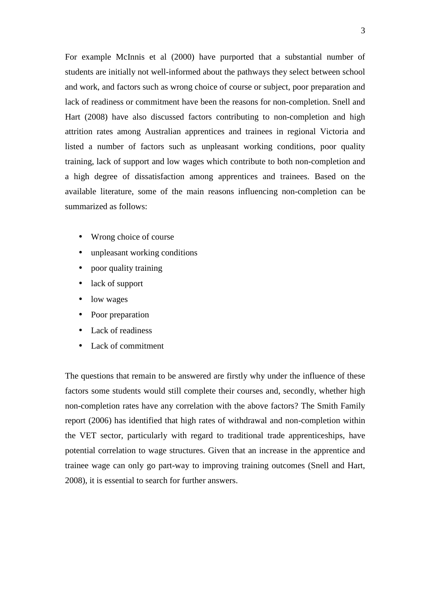For example McInnis et al (2000) have purported that a substantial number of students are initially not well-informed about the pathways they select between school and work, and factors such as wrong choice of course or subject, poor preparation and lack of readiness or commitment have been the reasons for non-completion. Snell and Hart (2008) have also discussed factors contributing to non-completion and high attrition rates among Australian apprentices and trainees in regional Victoria and listed a number of factors such as unpleasant working conditions, poor quality training, lack of support and low wages which contribute to both non-completion and a high degree of dissatisfaction among apprentices and trainees. Based on the available literature, some of the main reasons influencing non-completion can be summarized as follows:

- Wrong choice of course
- unpleasant working conditions
- poor quality training
- lack of support
- low wages
- Poor preparation
- Lack of readiness
- Lack of commitment

The questions that remain to be answered are firstly why under the influence of these factors some students would still complete their courses and, secondly, whether high non-completion rates have any correlation with the above factors? The Smith Family report (2006) has identified that high rates of withdrawal and non-completion within the VET sector, particularly with regard to traditional trade apprenticeships, have potential correlation to wage structures. Given that an increase in the apprentice and trainee wage can only go part-way to improving training outcomes (Snell and Hart, 2008), it is essential to search for further answers.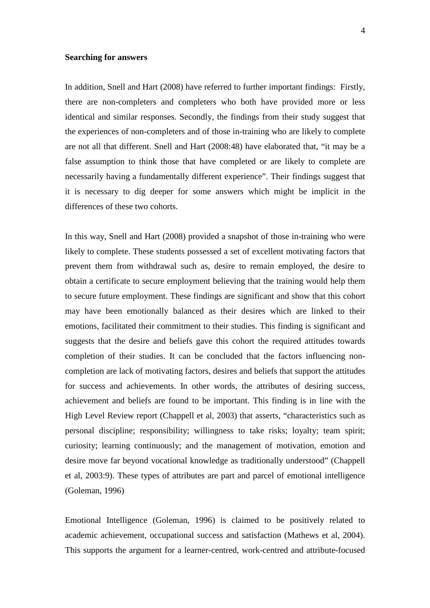### **Searching for answers**

In addition, Snell and Hart (2008) have referred to further important findings: Firstly, there are non-completers and completers who both have provided more or less identical and similar responses. Secondly, the findings from their study suggest that the experiences of non-completers and of those in-training who are likely to complete are not all that different. Snell and Hart (2008:48) have elaborated that, "it may be a false assumption to think those that have completed or are likely to complete are necessarily having a fundamentally different experience". Their findings suggest that it is necessary to dig deeper for some answers which might be implicit in the differences of these two cohorts.

In this way, Snell and Hart (2008) provided a snapshot of those in-training who were likely to complete. These students possessed a set of excellent motivating factors that prevent them from withdrawal such as, desire to remain employed, the desire to obtain a certificate to secure employment believing that the training would help them to secure future employment. These findings are significant and show that this cohort may have been emotionally balanced as their desires which are linked to their emotions, facilitated their commitment to their studies. This finding is significant and suggests that the desire and beliefs gave this cohort the required attitudes towards completion of their studies. It can be concluded that the factors influencing noncompletion are lack of motivating factors, desires and beliefs that support the attitudes for success and achievements. In other words, the attributes of desiring success, achievement and beliefs are found to be important. This finding is in line with the High Level Review report (Chappell et al, 2003) that asserts, "characteristics such as personal discipline; responsibility; willingness to take risks; loyalty; team spirit; curiosity; learning continuously; and the management of motivation, emotion and desire move far beyond vocational knowledge as traditionally understood" (Chappell et al, 2003:9). These types of attributes are part and parcel of emotional intelligence (Goleman, 1996)

Emotional Intelligence (Goleman, 1996) is claimed to be positively related to academic achievement, occupational success and satisfaction (Mathews et al, 2004). This supports the argument for a learner-centred, work-centred and attribute-focused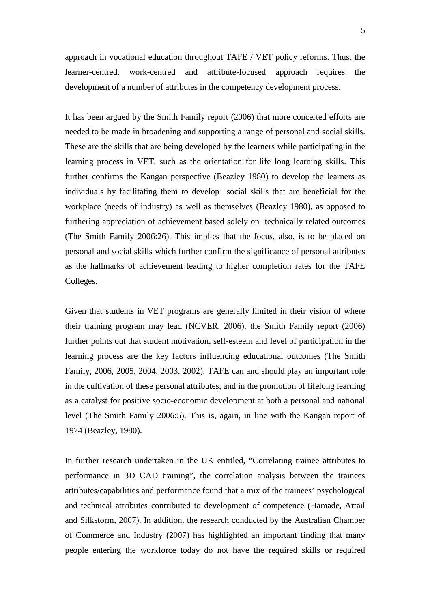approach in vocational education throughout TAFE / VET policy reforms. Thus, the learner-centred, work-centred and attribute-focused approach requires the development of a number of attributes in the competency development process.

It has been argued by the Smith Family report (2006) that more concerted efforts are needed to be made in broadening and supporting a range of personal and social skills. These are the skills that are being developed by the learners while participating in the learning process in VET, such as the orientation for life long learning skills. This further confirms the Kangan perspective (Beazley 1980) to develop the learners as individuals by facilitating them to develop social skills that are beneficial for the workplace (needs of industry) as well as themselves (Beazley 1980), as opposed to furthering appreciation of achievement based solely on technically related outcomes (The Smith Family 2006:26). This implies that the focus, also, is to be placed on personal and social skills which further confirm the significance of personal attributes as the hallmarks of achievement leading to higher completion rates for the TAFE Colleges.

Given that students in VET programs are generally limited in their vision of where their training program may lead (NCVER, 2006), the Smith Family report (2006) further points out that student motivation, self-esteem and level of participation in the learning process are the key factors influencing educational outcomes (The Smith Family, 2006, 2005, 2004, 2003, 2002). TAFE can and should play an important role in the cultivation of these personal attributes, and in the promotion of lifelong learning as a catalyst for positive socio-economic development at both a personal and national level (The Smith Family 2006:5). This is, again, in line with the Kangan report of 1974 (Beazley, 1980).

In further research undertaken in the UK entitled, "Correlating trainee attributes to performance in 3D CAD training", the correlation analysis between the trainees attributes/capabilities and performance found that a mix of the trainees' psychological and technical attributes contributed to development of competence (Hamade, Artail and Silkstorm, 2007). In addition, the research conducted by the Australian Chamber of Commerce and Industry (2007) has highlighted an important finding that many people entering the workforce today do not have the required skills or required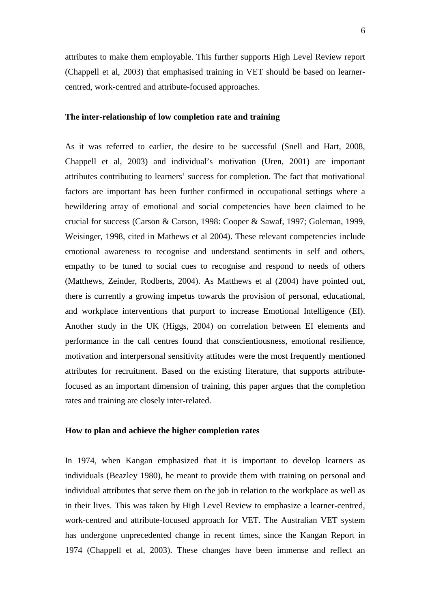attributes to make them employable. This further supports High Level Review report (Chappell et al, 2003) that emphasised training in VET should be based on learnercentred, work-centred and attribute-focused approaches.

## **The inter-relationship of low completion rate and training**

As it was referred to earlier, the desire to be successful (Snell and Hart, 2008, Chappell et al, 2003) and individual's motivation (Uren, 2001) are important attributes contributing to learners' success for completion. The fact that motivational factors are important has been further confirmed in occupational settings where a bewildering array of emotional and social competencies have been claimed to be crucial for success (Carson & Carson, 1998: Cooper & Sawaf, 1997; Goleman, 1999, Weisinger, 1998, cited in Mathews et al 2004). These relevant competencies include emotional awareness to recognise and understand sentiments in self and others, empathy to be tuned to social cues to recognise and respond to needs of others (Matthews, Zeinder, Rodberts, 2004). As Matthews et al (2004) have pointed out, there is currently a growing impetus towards the provision of personal, educational, and workplace interventions that purport to increase Emotional Intelligence (EI). Another study in the UK (Higgs, 2004) on correlation between EI elements and performance in the call centres found that conscientiousness, emotional resilience, motivation and interpersonal sensitivity attitudes were the most frequently mentioned attributes for recruitment. Based on the existing literature, that supports attributefocused as an important dimension of training, this paper argues that the completion rates and training are closely inter-related.

#### **How to plan and achieve the higher completion rates**

In 1974, when Kangan emphasized that it is important to develop learners as individuals (Beazley 1980), he meant to provide them with training on personal and individual attributes that serve them on the job in relation to the workplace as well as in their lives. This was taken by High Level Review to emphasize a learner-centred, work-centred and attribute-focused approach for VET. The Australian VET system has undergone unprecedented change in recent times, since the Kangan Report in 1974 (Chappell et al, 2003). These changes have been immense and reflect an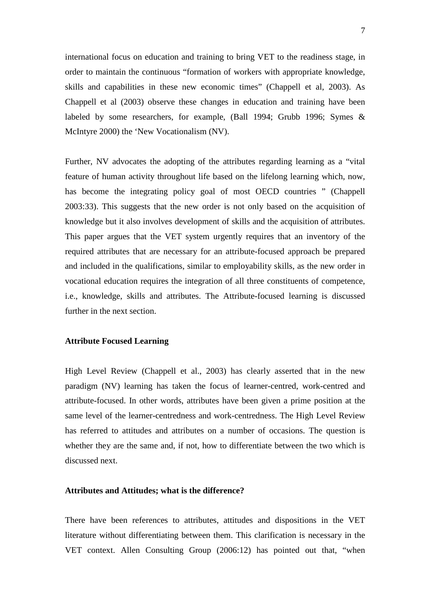international focus on education and training to bring VET to the readiness stage, in order to maintain the continuous "formation of workers with appropriate knowledge, skills and capabilities in these new economic times" (Chappell et al, 2003). As Chappell et al (2003) observe these changes in education and training have been labeled by some researchers, for example, (Ball 1994; Grubb 1996; Symes & McIntyre 2000) the 'New Vocationalism (NV).

Further, NV advocates the adopting of the attributes regarding learning as a "vital feature of human activity throughout life based on the lifelong learning which, now, has become the integrating policy goal of most OECD countries " (Chappell 2003:33). This suggests that the new order is not only based on the acquisition of knowledge but it also involves development of skills and the acquisition of attributes. This paper argues that the VET system urgently requires that an inventory of the required attributes that are necessary for an attribute-focused approach be prepared and included in the qualifications, similar to employability skills, as the new order in vocational education requires the integration of all three constituents of competence, i.e., knowledge, skills and attributes. The Attribute-focused learning is discussed further in the next section.

## **Attribute Focused Learning**

High Level Review (Chappell et al., 2003) has clearly asserted that in the new paradigm (NV) learning has taken the focus of learner-centred, work-centred and attribute-focused. In other words, attributes have been given a prime position at the same level of the learner-centredness and work-centredness. The High Level Review has referred to attitudes and attributes on a number of occasions. The question is whether they are the same and, if not, how to differentiate between the two which is discussed next.

### **Attributes and Attitudes; what is the difference?**

There have been references to attributes, attitudes and dispositions in the VET literature without differentiating between them. This clarification is necessary in the VET context. Allen Consulting Group (2006:12) has pointed out that, "when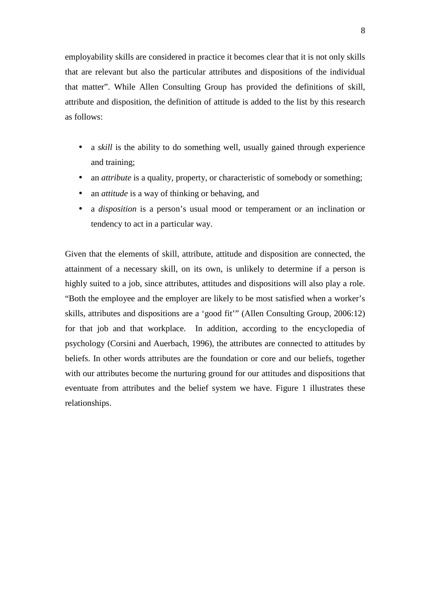employability skills are considered in practice it becomes clear that it is not only skills that are relevant but also the particular attributes and dispositions of the individual that matter". While Allen Consulting Group has provided the definitions of skill, attribute and disposition, the definition of attitude is added to the list by this research as follows:

- a *skill* is the ability to do something well, usually gained through experience and training;
- an *attribute* is a quality, property, or characteristic of somebody or something;
- an *attitude* is a way of thinking or behaving, and
- a *disposition* is a person's usual mood or temperament or an inclination or tendency to act in a particular way.

Given that the elements of skill, attribute, attitude and disposition are connected, the attainment of a necessary skill, on its own, is unlikely to determine if a person is highly suited to a job, since attributes, attitudes and dispositions will also play a role. "Both the employee and the employer are likely to be most satisfied when a worker's skills, attributes and dispositions are a 'good fit'" (Allen Consulting Group, 2006:12) for that job and that workplace. In addition, according to the encyclopedia of psychology (Corsini and Auerbach, 1996), the attributes are connected to attitudes by beliefs. In other words attributes are the foundation or core and our beliefs, together with our attributes become the nurturing ground for our attitudes and dispositions that eventuate from attributes and the belief system we have. Figure 1 illustrates these relationships.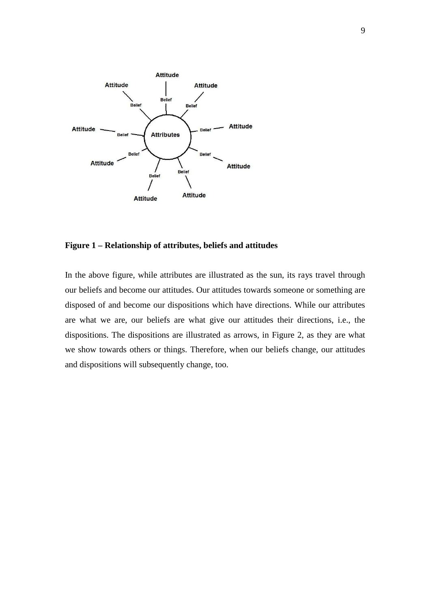

# **Figure 1 – Relationship of attributes, beliefs and attitudes**

In the above figure, while attributes are illustrated as the sun, its rays travel through our beliefs and become our attitudes. Our attitudes towards someone or something are disposed of and become our dispositions which have directions. While our attributes are what we are, our beliefs are what give our attitudes their directions, i.e., the dispositions. The dispositions are illustrated as arrows, in Figure 2, as they are what we show towards others or things. Therefore, when our beliefs change, our attitudes and dispositions will subsequently change, too.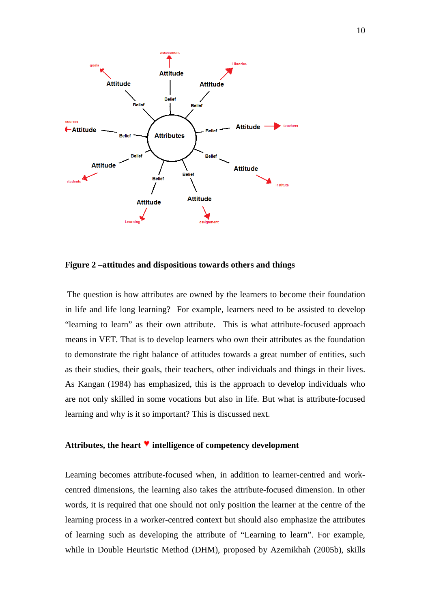

**Figure 2 –attitudes and dispositions towards others and things** 

 The question is how attributes are owned by the learners to become their foundation in life and life long learning? For example, learners need to be assisted to develop "learning to learn" as their own attribute. This is what attribute-focused approach means in VET. That is to develop learners who own their attributes as the foundation to demonstrate the right balance of attitudes towards a great number of entities, such as their studies, their goals, their teachers, other individuals and things in their lives. As Kangan (1984) has emphasized, this is the approach to develop individuals who are not only skilled in some vocations but also in life. But what is attribute-focused learning and why is it so important? This is discussed next.

## Attributes, the heart **v** intelligence of competency development

Learning becomes attribute-focused when, in addition to learner-centred and workcentred dimensions, the learning also takes the attribute-focused dimension. In other words, it is required that one should not only position the learner at the centre of the learning process in a worker-centred context but should also emphasize the attributes of learning such as developing the attribute of "Learning to learn". For example, while in Double Heuristic Method (DHM), proposed by Azemikhah (2005b), skills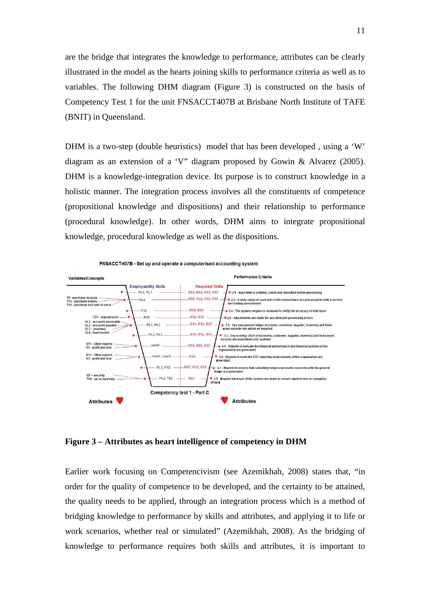are the bridge that integrates the knowledge to performance, attributes can be clearly illustrated in the model as the hearts joining skills to performance criteria as well as to variables. The following DHM diagram (Figure 3) is constructed on the basis of Competency Test 1 for the unit FNSACCT407B at Brisbane North Institute of TAFE (BNIT) in Queensland.

DHM is a two-step (double heuristics) model that has been developed, using a 'W' diagram as an extension of a 'V" diagram proposed by Gowin & Alvarez (2005). DHM is a knowledge-integration device. Its purpose is to construct knowledge in a holistic manner. The integration process involves all the constituents of competence (propositional knowledge and dispositions) and their relationship to performance (procedural knowledge). In other words, DHM aims to integrate propositional knowledge, procedural knowledge as well as the dispositions.



**Figure 3 – Attributes as heart intelligence of competency in DHM** 

Earlier work focusing on Competencivism (see Azemikhah, 2008) states that, "in order for the quality of competence to be developed, and the certainty to be attained, the quality needs to be applied, through an integration process which is a method of bridging knowledge to performance by skills and attributes, and applying it to life or work scenarios, whether real or simulated" (Azemikhah, 2008). As the bridging of knowledge to performance requires both skills and attributes, it is important to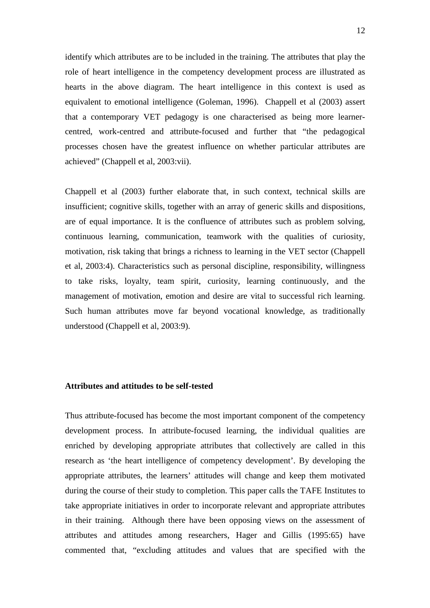identify which attributes are to be included in the training. The attributes that play the role of heart intelligence in the competency development process are illustrated as hearts in the above diagram. The heart intelligence in this context is used as equivalent to emotional intelligence (Goleman, 1996). Chappell et al (2003) assert that a contemporary VET pedagogy is one characterised as being more learnercentred, work-centred and attribute-focused and further that "the pedagogical processes chosen have the greatest influence on whether particular attributes are achieved" (Chappell et al, 2003:vii).

Chappell et al (2003) further elaborate that, in such context, technical skills are insufficient; cognitive skills, together with an array of generic skills and dispositions, are of equal importance. It is the confluence of attributes such as problem solving, continuous learning, communication, teamwork with the qualities of curiosity, motivation, risk taking that brings a richness to learning in the VET sector (Chappell et al, 2003:4). Characteristics such as personal discipline, responsibility, willingness to take risks, loyalty, team spirit, curiosity, learning continuously, and the management of motivation, emotion and desire are vital to successful rich learning. Such human attributes move far beyond vocational knowledge, as traditionally understood (Chappell et al, 2003:9).

# **Attributes and attitudes to be self-tested**

Thus attribute-focused has become the most important component of the competency development process. In attribute-focused learning, the individual qualities are enriched by developing appropriate attributes that collectively are called in this research as 'the heart intelligence of competency development'. By developing the appropriate attributes, the learners' attitudes will change and keep them motivated during the course of their study to completion. This paper calls the TAFE Institutes to take appropriate initiatives in order to incorporate relevant and appropriate attributes in their training. Although there have been opposing views on the assessment of attributes and attitudes among researchers, Hager and Gillis (1995:65) have commented that, "excluding attitudes and values that are specified with the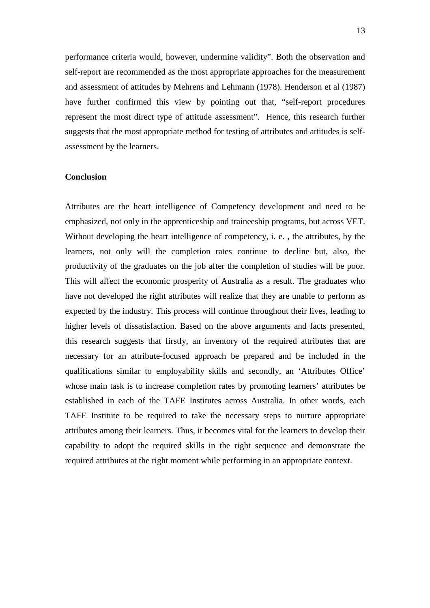performance criteria would, however, undermine validity". Both the observation and self-report are recommended as the most appropriate approaches for the measurement and assessment of attitudes by Mehrens and Lehmann (1978). Henderson et al (1987) have further confirmed this view by pointing out that, "self-report procedures represent the most direct type of attitude assessment". Hence, this research further suggests that the most appropriate method for testing of attributes and attitudes is selfassessment by the learners.

## **Conclusion**

Attributes are the heart intelligence of Competency development and need to be emphasized, not only in the apprenticeship and traineeship programs, but across VET. Without developing the heart intelligence of competency, i. e. , the attributes, by the learners, not only will the completion rates continue to decline but, also, the productivity of the graduates on the job after the completion of studies will be poor. This will affect the economic prosperity of Australia as a result. The graduates who have not developed the right attributes will realize that they are unable to perform as expected by the industry. This process will continue throughout their lives, leading to higher levels of dissatisfaction. Based on the above arguments and facts presented, this research suggests that firstly, an inventory of the required attributes that are necessary for an attribute-focused approach be prepared and be included in the qualifications similar to employability skills and secondly, an 'Attributes Office' whose main task is to increase completion rates by promoting learners' attributes be established in each of the TAFE Institutes across Australia. In other words, each TAFE Institute to be required to take the necessary steps to nurture appropriate attributes among their learners. Thus, it becomes vital for the learners to develop their capability to adopt the required skills in the right sequence and demonstrate the required attributes at the right moment while performing in an appropriate context.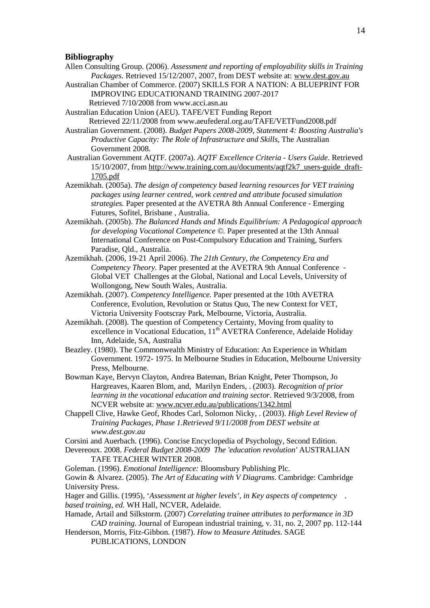#### **Bibliography**

- Allen Consulting Group. (2006). *Assessment and reporting of employability skills in Training Packages*. Retrieved 15/12/2007, 2007, from DEST website at: www.dest.gov.au
- Australian Chamber of Commerce. (2007) SKILLS FOR A NATION: A BLUEPRINT FOR IMPROVING EDUCATIONAND TRAINING 2007-2017

Retrieved 7/10/2008 from www.acci.asn.au

Australian Education Union (AEU). TAFE/VET Funding Report Retrieved 22/11/2008 from www.aeufederal.org.au/TAFE/VETFund2008.pdf

Australian Government. (2008). *Budget Papers 2008-2009, Statement 4: Boosting Australia's Productive Capacity: The Role of Infrastructure and Skills,* The Australian Government 2008.

- Australian Government AQTF. (2007a). *AQTF Excellence Criteria Users Guide*. Retrieved 15/10/2007, from http://www.training.com.au/documents/aqtf2k7\_users-guide\_draft-1705.pdf
- Azemikhah. (2005a). *The design of competency based learning resources for VET training packages using learner centred, work centred and attribute focused simulation strategies.* Paper presented at the AVETRA 8th Annual Conference - Emerging Futures, Sofitel, Brisbane , Australia.
- Azemikhah. (2005b). *The Balanced Hands and Minds Equilibrium: A Pedagogical approach for developing Vocational Competence ©.* Paper presented at the 13th Annual International Conference on Post-Compulsory Education and Training, Surfers Paradise, Qld., Australia.
- Azemikhah. (2006, 19-21 April 2006). *The 21th Century, the Competency Era and Competency Theory.* Paper presented at the AVETRA 9th Annual Conference - Global VET Challenges at the Global, National and Local Levels, University of Wollongong, New South Wales, Australia.
- Azemikhah. (2007). *Competency Intelligence.* Paper presented at the 10th AVETRA Conference, Evolution, Revolution or Status Quo, The new Context for VET, Victoria University Footscray Park, Melbourne, Victoria, Australia.
- Azemikhah. (2008). The question of Competency Certainty, Moving from quality to excellence in Vocational Education, 11<sup>th</sup> AVETRA Conference, Adelaide Holiday Inn, Adelaide, SA, Australia
- Beazley. (1980). The Commonwealth Ministry of Education: An Experience in Whitlam Government. 1972- 1975. In Melbourne Studies in Education, Melbourne University Press, Melbourne.
- Bowman Kaye, Bervyn Clayton, Andrea Bateman, Brian Knight, Peter Thompson, Jo Hargreaves, Kaaren Blom, and, Marilyn Enders, . (2003). *Recognition of prior learning in the vocational education and training sector*. Retrieved 9/3/2008, from NCVER website at: www.ncver.edu.au/publications/1342.html
- Chappell Clive, Hawke Geof, Rhodes Carl, Solomon Nicky, . (2003). *High Level Review of Training Packages, Phase 1.Retrieved 9/11/2008 from DEST website at www.dest.gov.au*

Corsini and Auerbach. (1996). Concise Encyclopedia of Psychology, Second Edition.

- Devereoux. 2008. *Federal Budget 2008-2009 The 'education revolution'* AUSTRALIAN TAFE TEACHER WINTER 2008.
- Goleman. (1996). *Emotional Intelligence:* Bloomsbury Publishing Plc. Gowin & Alvarez. (2005). *The Art of Educating with V Diagrams*. Cambridge: Cambridge University Press.

Hager and Gillis. (1995), '*Assessment at higher levels', in Key aspects of competency . based training, ed.* WH Hall, NCVER, Adelaide.

- Hamade, Artail and Silkstorm. (2007) *Correlating trainee attributes to performance in 3D CAD training*. Journal of European industrial training, v. 31, no. 2, 2007 pp. 112-144
- Henderson, Morris, Fitz-Gibbon. (1987). *How to Measure Attitudes.* SAGE PUBLICATIONS, LONDON